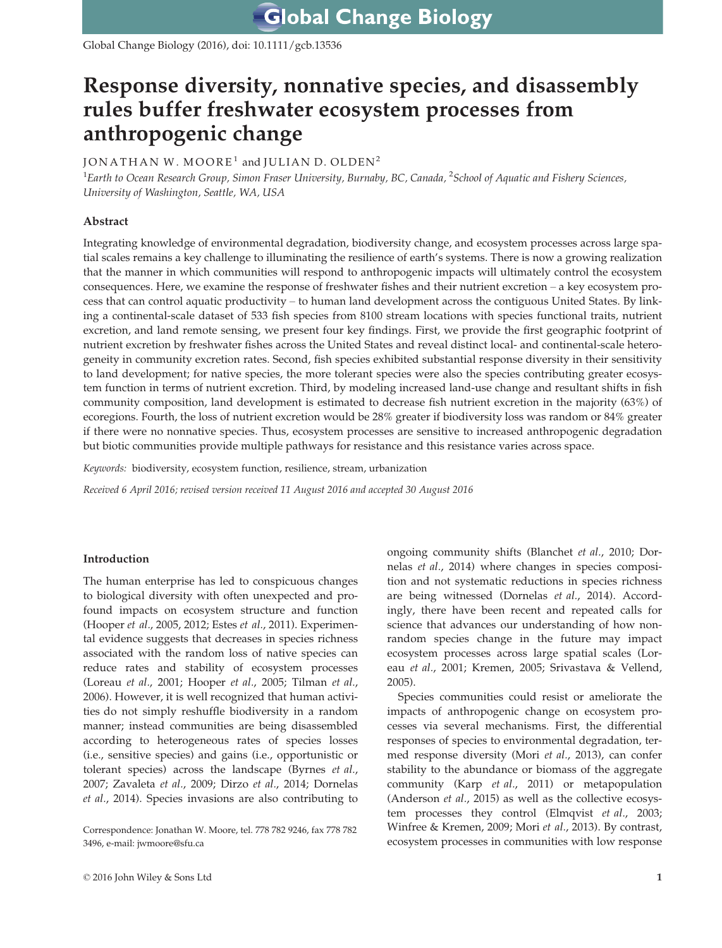Global Change Biology (2016), doi: 10.1111/gcb.13536

# Response diversity, nonnative species, and disassembly rules buffer freshwater ecosystem processes from anthropogenic change

# JONATHAN W. MOORE<sup>1</sup> and JULIAN D. OLDEN<sup>2</sup>

 $^1$ Earth to Ocean Research Group, Simon Fraser University, Burnaby, BC, Canada,  $^2$ School of Aquatic and Fishery Sciences, University of Washington, Seattle, WA, USA

# Abstract

Integrating knowledge of environmental degradation, biodiversity change, and ecosystem processes across large spatial scales remains a key challenge to illuminating the resilience of earth's systems. There is now a growing realization that the manner in which communities will respond to anthropogenic impacts will ultimately control the ecosystem consequences. Here, we examine the response of freshwater fishes and their nutrient excretion – a key ecosystem process that can control aquatic productivity – to human land development across the contiguous United States. By linking a continental-scale dataset of 533 fish species from 8100 stream locations with species functional traits, nutrient excretion, and land remote sensing, we present four key findings. First, we provide the first geographic footprint of nutrient excretion by freshwater fishes across the United States and reveal distinct local- and continental-scale heterogeneity in community excretion rates. Second, fish species exhibited substantial response diversity in their sensitivity to land development; for native species, the more tolerant species were also the species contributing greater ecosystem function in terms of nutrient excretion. Third, by modeling increased land-use change and resultant shifts in fish community composition, land development is estimated to decrease fish nutrient excretion in the majority (63%) of ecoregions. Fourth, the loss of nutrient excretion would be 28% greater if biodiversity loss was random or 84% greater if there were no nonnative species. Thus, ecosystem processes are sensitive to increased anthropogenic degradation but biotic communities provide multiple pathways for resistance and this resistance varies across space.

Keywords: biodiversity, ecosystem function, resilience, stream, urbanization

Received 6 April 2016; revised version received 11 August 2016 and accepted 30 August 2016

## Introduction

The human enterprise has led to conspicuous changes to biological diversity with often unexpected and profound impacts on ecosystem structure and function (Hooper et al., 2005, 2012; Estes et al., 2011). Experimental evidence suggests that decreases in species richness associated with the random loss of native species can reduce rates and stability of ecosystem processes (Loreau et al., 2001; Hooper et al., 2005; Tilman et al., 2006). However, it is well recognized that human activities do not simply reshuffle biodiversity in a random manner; instead communities are being disassembled according to heterogeneous rates of species losses (i.e., sensitive species) and gains (i.e., opportunistic or tolerant species) across the landscape (Byrnes et al., 2007; Zavaleta et al., 2009; Dirzo et al., 2014; Dornelas et al., 2014). Species invasions are also contributing to

Correspondence: Jonathan W. Moore, tel. 778 782 9246, fax 778 782 3496, e-mail: jwmoore@sfu.ca

ongoing community shifts (Blanchet et al., 2010; Dornelas et al., 2014) where changes in species composition and not systematic reductions in species richness are being witnessed (Dornelas et al., 2014). Accordingly, there have been recent and repeated calls for science that advances our understanding of how nonrandom species change in the future may impact ecosystem processes across large spatial scales (Loreau et al., 2001; Kremen, 2005; Srivastava & Vellend, 2005).

Species communities could resist or ameliorate the impacts of anthropogenic change on ecosystem processes via several mechanisms. First, the differential responses of species to environmental degradation, termed response diversity (Mori et al., 2013), can confer stability to the abundance or biomass of the aggregate community (Karp et al., 2011) or metapopulation (Anderson et al., 2015) as well as the collective ecosystem processes they control (Elmqvist et al., 2003; Winfree & Kremen, 2009; Mori et al., 2013). By contrast, ecosystem processes in communities with low response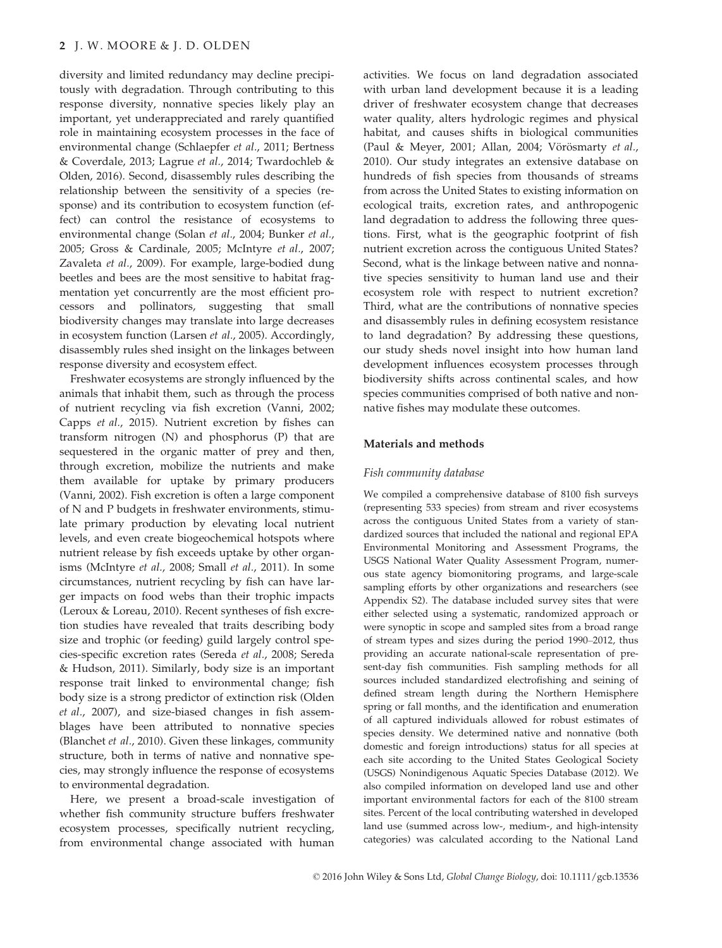diversity and limited redundancy may decline precipitously with degradation. Through contributing to this response diversity, nonnative species likely play an important, yet underappreciated and rarely quantified role in maintaining ecosystem processes in the face of environmental change (Schlaepfer et al., 2011; Bertness & Coverdale, 2013; Lagrue et al., 2014; Twardochleb & Olden, 2016). Second, disassembly rules describing the relationship between the sensitivity of a species (response) and its contribution to ecosystem function (effect) can control the resistance of ecosystems to environmental change (Solan et al., 2004; Bunker et al., 2005; Gross & Cardinale, 2005; McIntyre et al., 2007; Zavaleta et al., 2009). For example, large-bodied dung beetles and bees are the most sensitive to habitat fragmentation yet concurrently are the most efficient processors and pollinators, suggesting that small biodiversity changes may translate into large decreases in ecosystem function (Larsen et al., 2005). Accordingly, disassembly rules shed insight on the linkages between response diversity and ecosystem effect.

Freshwater ecosystems are strongly influenced by the animals that inhabit them, such as through the process of nutrient recycling via fish excretion (Vanni, 2002; Capps et al., 2015). Nutrient excretion by fishes can transform nitrogen (N) and phosphorus (P) that are sequestered in the organic matter of prey and then, through excretion, mobilize the nutrients and make them available for uptake by primary producers (Vanni, 2002). Fish excretion is often a large component of N and P budgets in freshwater environments, stimulate primary production by elevating local nutrient levels, and even create biogeochemical hotspots where nutrient release by fish exceeds uptake by other organisms (McIntyre et al., 2008; Small et al., 2011). In some circumstances, nutrient recycling by fish can have larger impacts on food webs than their trophic impacts (Leroux & Loreau, 2010). Recent syntheses of fish excretion studies have revealed that traits describing body size and trophic (or feeding) guild largely control species-specific excretion rates (Sereda et al., 2008; Sereda & Hudson, 2011). Similarly, body size is an important response trait linked to environmental change; fish body size is a strong predictor of extinction risk (Olden et al., 2007), and size-biased changes in fish assemblages have been attributed to nonnative species (Blanchet et al., 2010). Given these linkages, community structure, both in terms of native and nonnative species, may strongly influence the response of ecosystems to environmental degradation.

Here, we present a broad-scale investigation of whether fish community structure buffers freshwater ecosystem processes, specifically nutrient recycling, from environmental change associated with human activities. We focus on land degradation associated with urban land development because it is a leading driver of freshwater ecosystem change that decreases water quality, alters hydrologic regimes and physical habitat, and causes shifts in biological communities (Paul & Meyer, 2001; Allan, 2004; Vörösmarty et al., 2010). Our study integrates an extensive database on hundreds of fish species from thousands of streams from across the United States to existing information on ecological traits, excretion rates, and anthropogenic land degradation to address the following three questions. First, what is the geographic footprint of fish nutrient excretion across the contiguous United States? Second, what is the linkage between native and nonnative species sensitivity to human land use and their ecosystem role with respect to nutrient excretion? Third, what are the contributions of nonnative species and disassembly rules in defining ecosystem resistance to land degradation? By addressing these questions, our study sheds novel insight into how human land development influences ecosystem processes through biodiversity shifts across continental scales, and how species communities comprised of both native and nonnative fishes may modulate these outcomes.

## Materials and methods

#### Fish community database

We compiled a comprehensive database of 8100 fish surveys (representing 533 species) from stream and river ecosystems across the contiguous United States from a variety of standardized sources that included the national and regional EPA Environmental Monitoring and Assessment Programs, the USGS National Water Quality Assessment Program, numerous state agency biomonitoring programs, and large-scale sampling efforts by other organizations and researchers (see Appendix S2). The database included survey sites that were either selected using a systematic, randomized approach or were synoptic in scope and sampled sites from a broad range of stream types and sizes during the period 1990–2012, thus providing an accurate national-scale representation of present-day fish communities. Fish sampling methods for all sources included standardized electrofishing and seining of defined stream length during the Northern Hemisphere spring or fall months, and the identification and enumeration of all captured individuals allowed for robust estimates of species density. We determined native and nonnative (both domestic and foreign introductions) status for all species at each site according to the United States Geological Society (USGS) Nonindigenous Aquatic Species Database (2012). We also compiled information on developed land use and other important environmental factors for each of the 8100 stream sites. Percent of the local contributing watershed in developed land use (summed across low-, medium-, and high-intensity categories) was calculated according to the National Land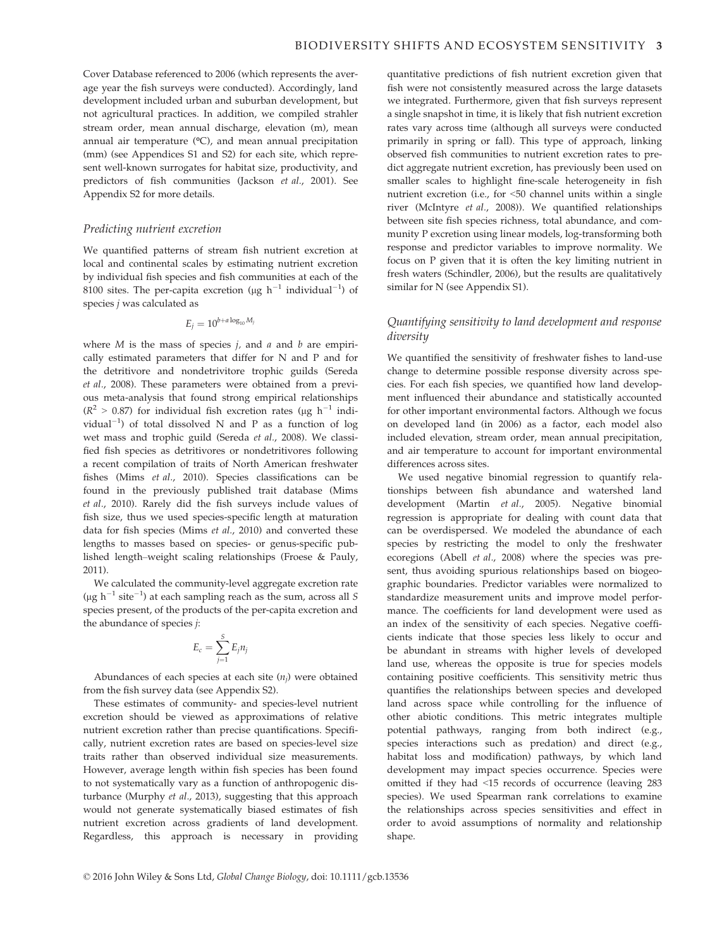Cover Database referenced to 2006 (which represents the average year the fish surveys were conducted). Accordingly, land development included urban and suburban development, but not agricultural practices. In addition, we compiled strahler stream order, mean annual discharge, elevation (m), mean annual air temperature (°C), and mean annual precipitation (mm) (see Appendices S1 and S2) for each site, which represent well-known surrogates for habitat size, productivity, and predictors of fish communities (Jackson et al., 2001). See Appendix S2 for more details.

#### Predicting nutrient excretion

We quantified patterns of stream fish nutrient excretion at local and continental scales by estimating nutrient excretion by individual fish species and fish communities at each of the 8100 sites. The per-capita excretion (µg  $h^{-1}$  individual $^{-1}$ ) of species j was calculated as

$$
E_j = 10^{b+a\log_{10}M_j}
$$

where  $M$  is the mass of species  $j$ , and  $a$  and  $b$  are empirically estimated parameters that differ for N and P and for the detritivore and nondetrivitore trophic guilds (Sereda et al., 2008). These parameters were obtained from a previous meta-analysis that found strong empirical relationships  $(R^2 > 0.87)$  for individual fish excretion rates (ug h<sup>-1</sup> individual $^{-1}$ ) of total dissolved N and P as a function of log wet mass and trophic guild (Sereda et al., 2008). We classified fish species as detritivores or nondetritivores following a recent compilation of traits of North American freshwater fishes (Mims et al., 2010). Species classifications can be found in the previously published trait database (Mims et al., 2010). Rarely did the fish surveys include values of fish size, thus we used species-specific length at maturation data for fish species (Mims et al., 2010) and converted these lengths to masses based on species- or genus-specific published length–weight scaling relationships (Froese & Pauly, 2011).

We calculated the community-level aggregate excretion rate (µg  $h^{-1}$  site<sup>-1</sup>) at each sampling reach as the sum, across all S species present, of the products of the per-capita excretion and the abundance of species j:

$$
E_c = \sum_{j=1}^S E_j n_j
$$

Abundances of each species at each site  $(n_i)$  were obtained from the fish survey data (see Appendix S2).

These estimates of community- and species-level nutrient excretion should be viewed as approximations of relative nutrient excretion rather than precise quantifications. Specifically, nutrient excretion rates are based on species-level size traits rather than observed individual size measurements. However, average length within fish species has been found to not systematically vary as a function of anthropogenic disturbance (Murphy et al., 2013), suggesting that this approach would not generate systematically biased estimates of fish nutrient excretion across gradients of land development. Regardless, this approach is necessary in providing quantitative predictions of fish nutrient excretion given that fish were not consistently measured across the large datasets we integrated. Furthermore, given that fish surveys represent a single snapshot in time, it is likely that fish nutrient excretion rates vary across time (although all surveys were conducted primarily in spring or fall). This type of approach, linking observed fish communities to nutrient excretion rates to predict aggregate nutrient excretion, has previously been used on smaller scales to highlight fine-scale heterogeneity in fish nutrient excretion (i.e., for <50 channel units within a single river (McIntyre et al., 2008)). We quantified relationships between site fish species richness, total abundance, and community P excretion using linear models, log-transforming both response and predictor variables to improve normality. We focus on P given that it is often the key limiting nutrient in fresh waters (Schindler, 2006), but the results are qualitatively similar for N (see Appendix S1).

# Quantifying sensitivity to land development and response diversity

We quantified the sensitivity of freshwater fishes to land-use change to determine possible response diversity across species. For each fish species, we quantified how land development influenced their abundance and statistically accounted for other important environmental factors. Although we focus on developed land (in 2006) as a factor, each model also included elevation, stream order, mean annual precipitation, and air temperature to account for important environmental differences across sites.

We used negative binomial regression to quantify relationships between fish abundance and watershed land development (Martin et al., 2005). Negative binomial regression is appropriate for dealing with count data that can be overdispersed. We modeled the abundance of each species by restricting the model to only the freshwater ecoregions (Abell et al., 2008) where the species was present, thus avoiding spurious relationships based on biogeographic boundaries. Predictor variables were normalized to standardize measurement units and improve model performance. The coefficients for land development were used as an index of the sensitivity of each species. Negative coefficients indicate that those species less likely to occur and be abundant in streams with higher levels of developed land use, whereas the opposite is true for species models containing positive coefficients. This sensitivity metric thus quantifies the relationships between species and developed land across space while controlling for the influence of other abiotic conditions. This metric integrates multiple potential pathways, ranging from both indirect (e.g., species interactions such as predation) and direct (e.g., habitat loss and modification) pathways, by which land development may impact species occurrence. Species were omitted if they had <15 records of occurrence (leaving 283 species). We used Spearman rank correlations to examine the relationships across species sensitivities and effect in order to avoid assumptions of normality and relationship shape.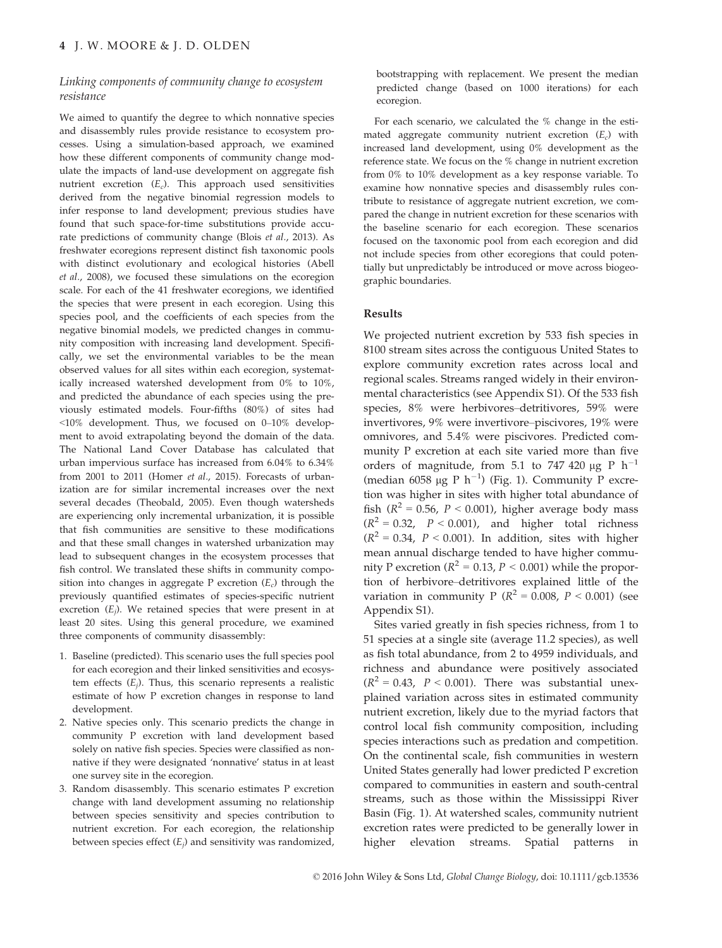## Linking components of community change to ecosystem resistance

We aimed to quantify the degree to which nonnative species and disassembly rules provide resistance to ecosystem processes. Using a simulation-based approach, we examined how these different components of community change modulate the impacts of land-use development on aggregate fish nutrient excretion  $(E_c)$ . This approach used sensitivities derived from the negative binomial regression models to infer response to land development; previous studies have found that such space-for-time substitutions provide accurate predictions of community change (Blois et al., 2013). As freshwater ecoregions represent distinct fish taxonomic pools with distinct evolutionary and ecological histories (Abell et al., 2008), we focused these simulations on the ecoregion scale. For each of the 41 freshwater ecoregions, we identified the species that were present in each ecoregion. Using this species pool, and the coefficients of each species from the negative binomial models, we predicted changes in community composition with increasing land development. Specifically, we set the environmental variables to be the mean observed values for all sites within each ecoregion, systematically increased watershed development from 0% to 10%, and predicted the abundance of each species using the previously estimated models. Four-fifths (80%) of sites had <10% development. Thus, we focused on 0–10% development to avoid extrapolating beyond the domain of the data. The National Land Cover Database has calculated that urban impervious surface has increased from 6.04% to 6.34% from 2001 to 2011 (Homer et al., 2015). Forecasts of urbanization are for similar incremental increases over the next several decades (Theobald, 2005). Even though watersheds are experiencing only incremental urbanization, it is possible that fish communities are sensitive to these modifications and that these small changes in watershed urbanization may lead to subsequent changes in the ecosystem processes that fish control. We translated these shifts in community composition into changes in aggregate P excretion  $(E_c)$  through the previously quantified estimates of species-specific nutrient excretion  $(E_i)$ . We retained species that were present in at least 20 sites. Using this general procedure, we examined three components of community disassembly:

- 1. Baseline (predicted). This scenario uses the full species pool for each ecoregion and their linked sensitivities and ecosystem effects  $(E_i)$ . Thus, this scenario represents a realistic estimate of how P excretion changes in response to land development.
- 2. Native species only. This scenario predicts the change in community P excretion with land development based solely on native fish species. Species were classified as nonnative if they were designated 'nonnative' status in at least one survey site in the ecoregion.
- 3. Random disassembly. This scenario estimates P excretion change with land development assuming no relationship between species sensitivity and species contribution to nutrient excretion. For each ecoregion, the relationship between species effect  $(E_i)$  and sensitivity was randomized,

bootstrapping with replacement. We present the median predicted change (based on 1000 iterations) for each ecoregion.

For each scenario, we calculated the % change in the estimated aggregate community nutrient excretion  $(E_c)$  with increased land development, using 0% development as the reference state. We focus on the % change in nutrient excretion from 0% to 10% development as a key response variable. To examine how nonnative species and disassembly rules contribute to resistance of aggregate nutrient excretion, we compared the change in nutrient excretion for these scenarios with the baseline scenario for each ecoregion. These scenarios focused on the taxonomic pool from each ecoregion and did not include species from other ecoregions that could potentially but unpredictably be introduced or move across biogeographic boundaries.

## Results

We projected nutrient excretion by 533 fish species in 8100 stream sites across the contiguous United States to explore community excretion rates across local and regional scales. Streams ranged widely in their environmental characteristics (see Appendix S1). Of the 533 fish species, 8% were herbivores–detritivores, 59% were invertivores, 9% were invertivore–piscivores, 19% were omnivores, and 5.4% were piscivores. Predicted community P excretion at each site varied more than five orders of magnitude, from 5.1 to 747 420  $\mu$ g P h<sup>-1</sup> (median 6058 µg P  $h^{-1}$ ) (Fig. 1). Community P excretion was higher in sites with higher total abundance of fish ( $R^2 = 0.56$ ,  $P < 0.001$ ), higher average body mass  $(R^2 = 0.32, P < 0.001)$ , and higher total richness  $(R^2 = 0.34, P < 0.001)$ . In addition, sites with higher mean annual discharge tended to have higher community P excretion ( $R^2 = 0.13$ ,  $P < 0.001$ ) while the proportion of herbivore–detritivores explained little of the variation in community P ( $R^2 = 0.008$ ,  $P < 0.001$ ) (see Appendix S1).

Sites varied greatly in fish species richness, from 1 to 51 species at a single site (average 11.2 species), as well as fish total abundance, from 2 to 4959 individuals, and richness and abundance were positively associated  $(R^2 = 0.43, P < 0.001)$ . There was substantial unexplained variation across sites in estimated community nutrient excretion, likely due to the myriad factors that control local fish community composition, including species interactions such as predation and competition. On the continental scale, fish communities in western United States generally had lower predicted P excretion compared to communities in eastern and south-central streams, such as those within the Mississippi River Basin (Fig. 1). At watershed scales, community nutrient excretion rates were predicted to be generally lower in higher elevation streams. Spatial patterns in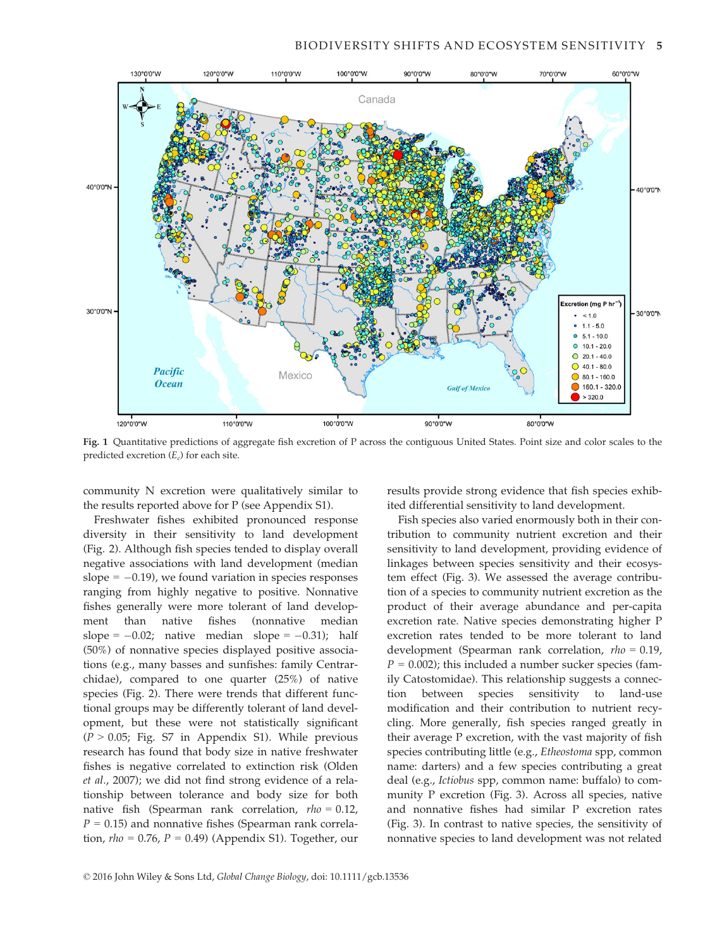

Fig. 1 Quantitative predictions of aggregate fish excretion of P across the contiguous United States. Point size and color scales to the predicted excretion  $(E_c)$  for each site.

community N excretion were qualitatively similar to the results reported above for P (see Appendix S1).

Freshwater fishes exhibited pronounced response diversity in their sensitivity to land development (Fig. 2). Although fish species tended to display overall negative associations with land development (median slope  $= -0.19$ ), we found variation in species responses ranging from highly negative to positive. Nonnative fishes generally were more tolerant of land development than native fishes (nonnative median slope =  $-0.02$ ; native median slope =  $-0.31$ ); half (50%) of nonnative species displayed positive associations (e.g., many basses and sunfishes: family Centrarchidae), compared to one quarter (25%) of native species (Fig. 2). There were trends that different functional groups may be differently tolerant of land development, but these were not statistically significant  $(P > 0.05;$  Fig. S7 in Appendix S1). While previous research has found that body size in native freshwater fishes is negative correlated to extinction risk (Olden et al., 2007); we did not find strong evidence of a relationship between tolerance and body size for both native fish (Spearman rank correlation,  $rho = 0.12$ ,  $P = 0.15$ ) and nonnative fishes (Spearman rank correlation,  $rho = 0.76$ ,  $P = 0.49$ ) (Appendix S1). Together, our results provide strong evidence that fish species exhibited differential sensitivity to land development.

Fish species also varied enormously both in their contribution to community nutrient excretion and their sensitivity to land development, providing evidence of linkages between species sensitivity and their ecosystem effect (Fig. 3). We assessed the average contribution of a species to community nutrient excretion as the product of their average abundance and per-capita excretion rate. Native species demonstrating higher P excretion rates tended to be more tolerant to land development (Spearman rank correlation, rho = 0.19,  $P = 0.002$ ); this included a number sucker species (family Catostomidae). This relationship suggests a connection between species sensitivity to land-use modification and their contribution to nutrient recycling. More generally, fish species ranged greatly in their average P excretion, with the vast majority of fish species contributing little (e.g., Etheostoma spp, common name: darters) and a few species contributing a great deal (e.g., Ictiobus spp, common name: buffalo) to community P excretion (Fig. 3). Across all species, native and nonnative fishes had similar P excretion rates (Fig. 3). In contrast to native species, the sensitivity of nonnative species to land development was not related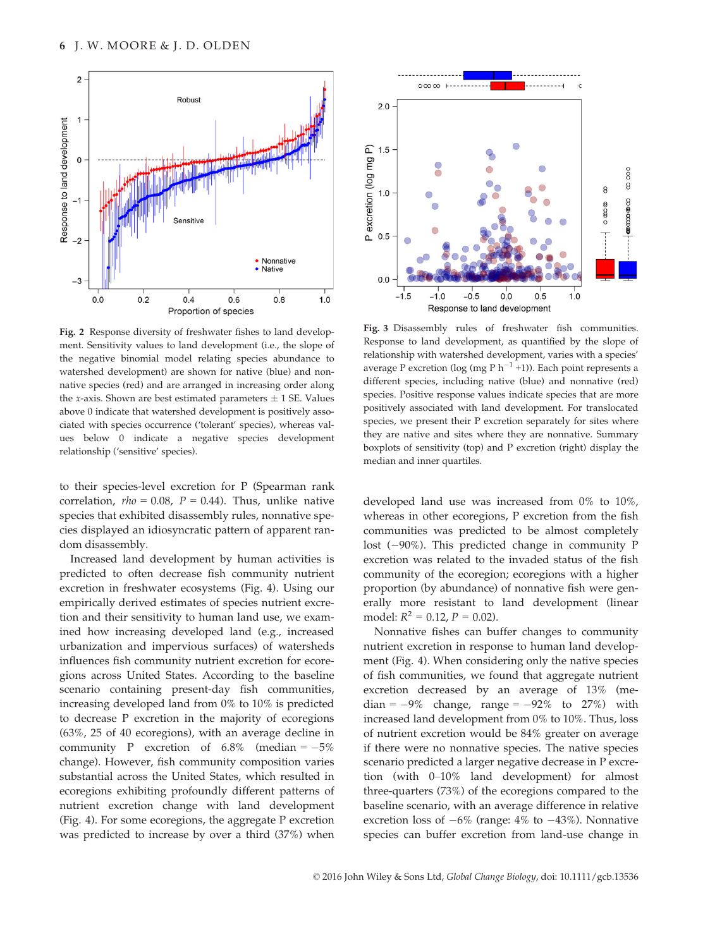

Fig. 2 Response diversity of freshwater fishes to land development. Sensitivity values to land development (i.e., the slope of the negative binomial model relating species abundance to watershed development) are shown for native (blue) and nonnative species (red) and are arranged in increasing order along the x-axis. Shown are best estimated parameters  $\pm$  1 SE. Values above 0 indicate that watershed development is positively associated with species occurrence ('tolerant' species), whereas values below 0 indicate a negative species development relationship ('sensitive' species).

to their species-level excretion for P (Spearman rank correlation,  $rho = 0.08$ ,  $P = 0.44$ ). Thus, unlike native species that exhibited disassembly rules, nonnative species displayed an idiosyncratic pattern of apparent random disassembly.

Increased land development by human activities is predicted to often decrease fish community nutrient excretion in freshwater ecosystems (Fig. 4). Using our empirically derived estimates of species nutrient excretion and their sensitivity to human land use, we examined how increasing developed land (e.g., increased urbanization and impervious surfaces) of watersheds influences fish community nutrient excretion for ecoregions across United States. According to the baseline scenario containing present-day fish communities, increasing developed land from 0% to 10% is predicted to decrease P excretion in the majority of ecoregions (63%, 25 of 40 ecoregions), with an average decline in community P excretion of  $6.8\%$  (median =  $-5\%$ change). However, fish community composition varies substantial across the United States, which resulted in ecoregions exhibiting profoundly different patterns of nutrient excretion change with land development (Fig. 4). For some ecoregions, the aggregate P excretion was predicted to increase by over a third (37%) when



Fig. 3 Disassembly rules of freshwater fish communities. Response to land development, as quantified by the slope of relationship with watershed development, varies with a species' average P excretion (log (mg P  $h^{-1}$  +1)). Each point represents a different species, including native (blue) and nonnative (red) species. Positive response values indicate species that are more positively associated with land development. For translocated species, we present their P excretion separately for sites where they are native and sites where they are nonnative. Summary boxplots of sensitivity (top) and P excretion (right) display the median and inner quartiles.

developed land use was increased from 0% to 10%, whereas in other ecoregions, P excretion from the fish communities was predicted to be almost completely lost  $(-90\%)$ . This predicted change in community P excretion was related to the invaded status of the fish community of the ecoregion; ecoregions with a higher proportion (by abundance) of nonnative fish were generally more resistant to land development (linear model:  $R^2 = 0.12$ ,  $P = 0.02$ ).

Nonnative fishes can buffer changes to community nutrient excretion in response to human land development (Fig. 4). When considering only the native species of fish communities, we found that aggregate nutrient excretion decreased by an average of 13% (median =  $-9\%$  change, range =  $-92\%$  to 27%) with increased land development from 0% to 10%. Thus, loss of nutrient excretion would be 84% greater on average if there were no nonnative species. The native species scenario predicted a larger negative decrease in P excretion (with 0–10% land development) for almost three-quarters (73%) of the ecoregions compared to the baseline scenario, with an average difference in relative excretion loss of  $-6\%$  (range:  $4\%$  to  $-43\%$ ). Nonnative species can buffer excretion from land-use change in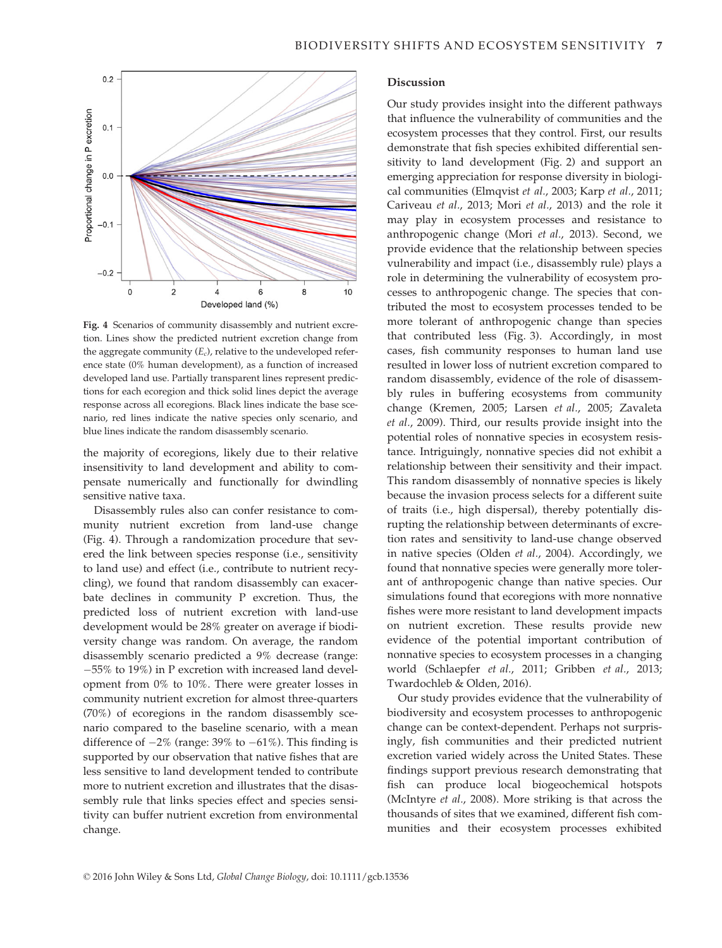

Fig. 4 Scenarios of community disassembly and nutrient excretion. Lines show the predicted nutrient excretion change from the aggregate community  $(E_c)$ , relative to the undeveloped reference state (0% human development), as a function of increased developed land use. Partially transparent lines represent predictions for each ecoregion and thick solid lines depict the average response across all ecoregions. Black lines indicate the base scenario, red lines indicate the native species only scenario, and blue lines indicate the random disassembly scenario.

the majority of ecoregions, likely due to their relative insensitivity to land development and ability to compensate numerically and functionally for dwindling sensitive native taxa.

Disassembly rules also can confer resistance to community nutrient excretion from land-use change (Fig. 4). Through a randomization procedure that severed the link between species response (i.e., sensitivity to land use) and effect (i.e., contribute to nutrient recycling), we found that random disassembly can exacerbate declines in community P excretion. Thus, the predicted loss of nutrient excretion with land-use development would be 28% greater on average if biodiversity change was random. On average, the random disassembly scenario predicted a 9% decrease (range: 55% to 19%) in P excretion with increased land development from 0% to 10%. There were greater losses in community nutrient excretion for almost three-quarters (70%) of ecoregions in the random disassembly scenario compared to the baseline scenario, with a mean difference of  $-2\%$  (range: 39% to  $-61\%$ ). This finding is supported by our observation that native fishes that are less sensitive to land development tended to contribute more to nutrient excretion and illustrates that the disassembly rule that links species effect and species sensitivity can buffer nutrient excretion from environmental change.

# Discussion

Our study provides insight into the different pathways that influence the vulnerability of communities and the ecosystem processes that they control. First, our results demonstrate that fish species exhibited differential sensitivity to land development (Fig. 2) and support an emerging appreciation for response diversity in biological communities (Elmqvist et al., 2003; Karp et al., 2011; Cariveau et al., 2013; Mori et al., 2013) and the role it may play in ecosystem processes and resistance to anthropogenic change (Mori et al., 2013). Second, we provide evidence that the relationship between species vulnerability and impact (i.e., disassembly rule) plays a role in determining the vulnerability of ecosystem processes to anthropogenic change. The species that contributed the most to ecosystem processes tended to be more tolerant of anthropogenic change than species that contributed less (Fig. 3). Accordingly, in most cases, fish community responses to human land use resulted in lower loss of nutrient excretion compared to random disassembly, evidence of the role of disassembly rules in buffering ecosystems from community change (Kremen, 2005; Larsen et al., 2005; Zavaleta et al., 2009). Third, our results provide insight into the potential roles of nonnative species in ecosystem resistance. Intriguingly, nonnative species did not exhibit a relationship between their sensitivity and their impact. This random disassembly of nonnative species is likely because the invasion process selects for a different suite of traits (i.e., high dispersal), thereby potentially disrupting the relationship between determinants of excretion rates and sensitivity to land-use change observed in native species (Olden et al., 2004). Accordingly, we found that nonnative species were generally more tolerant of anthropogenic change than native species. Our simulations found that ecoregions with more nonnative fishes were more resistant to land development impacts on nutrient excretion. These results provide new evidence of the potential important contribution of nonnative species to ecosystem processes in a changing world (Schlaepfer et al., 2011; Gribben et al., 2013; Twardochleb & Olden, 2016).

Our study provides evidence that the vulnerability of biodiversity and ecosystem processes to anthropogenic change can be context-dependent. Perhaps not surprisingly, fish communities and their predicted nutrient excretion varied widely across the United States. These findings support previous research demonstrating that fish can produce local biogeochemical hotspots (McIntyre et al., 2008). More striking is that across the thousands of sites that we examined, different fish communities and their ecosystem processes exhibited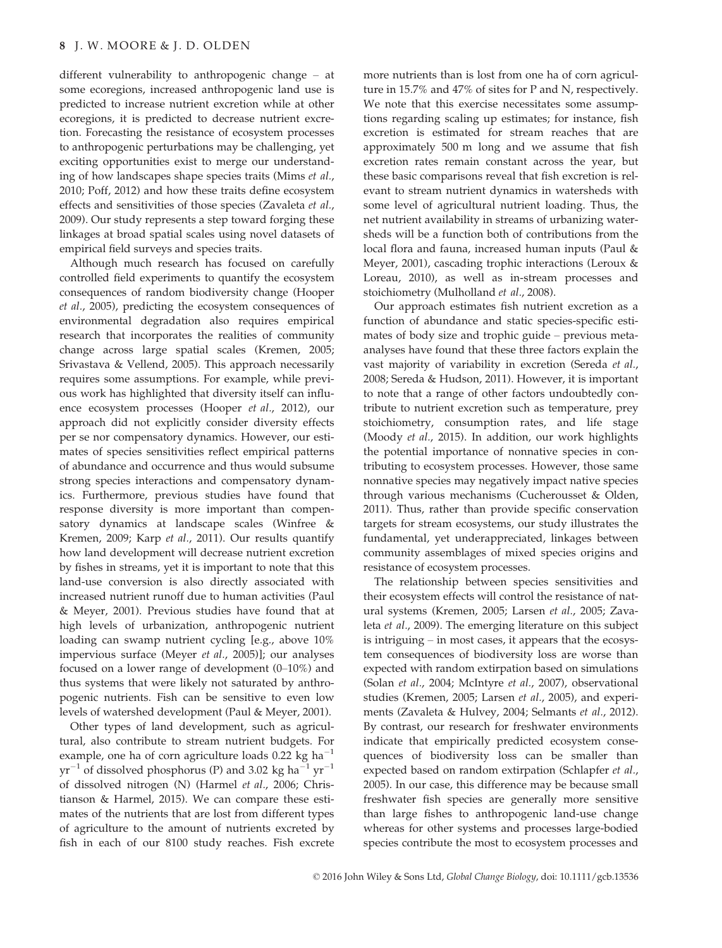different vulnerability to anthropogenic change – at some ecoregions, increased anthropogenic land use is predicted to increase nutrient excretion while at other ecoregions, it is predicted to decrease nutrient excretion. Forecasting the resistance of ecosystem processes to anthropogenic perturbations may be challenging, yet exciting opportunities exist to merge our understanding of how landscapes shape species traits (Mims et al., 2010; Poff, 2012) and how these traits define ecosystem effects and sensitivities of those species (Zavaleta et al., 2009). Our study represents a step toward forging these linkages at broad spatial scales using novel datasets of empirical field surveys and species traits.

Although much research has focused on carefully controlled field experiments to quantify the ecosystem consequences of random biodiversity change (Hooper et al., 2005), predicting the ecosystem consequences of environmental degradation also requires empirical research that incorporates the realities of community change across large spatial scales (Kremen, 2005; Srivastava & Vellend, 2005). This approach necessarily requires some assumptions. For example, while previous work has highlighted that diversity itself can influence ecosystem processes (Hooper et al., 2012), our approach did not explicitly consider diversity effects per se nor compensatory dynamics. However, our estimates of species sensitivities reflect empirical patterns of abundance and occurrence and thus would subsume strong species interactions and compensatory dynamics. Furthermore, previous studies have found that response diversity is more important than compensatory dynamics at landscape scales (Winfree & Kremen, 2009; Karp et al., 2011). Our results quantify how land development will decrease nutrient excretion by fishes in streams, yet it is important to note that this land-use conversion is also directly associated with increased nutrient runoff due to human activities (Paul & Meyer, 2001). Previous studies have found that at high levels of urbanization, anthropogenic nutrient loading can swamp nutrient cycling [e.g., above 10% impervious surface (Meyer et al., 2005)]; our analyses focused on a lower range of development (0–10%) and thus systems that were likely not saturated by anthropogenic nutrients. Fish can be sensitive to even low levels of watershed development (Paul & Meyer, 2001).

Other types of land development, such as agricultural, also contribute to stream nutrient budgets. For example, one ha of corn agriculture loads 0.22 kg ha<sup>-1</sup>  $yr^{-1}$  of dissolved phosphorus (P) and 3.02 kg ha<sup>-1</sup> yr<sup>-1</sup> of dissolved nitrogen (N) (Harmel et al., 2006; Christianson & Harmel, 2015). We can compare these estimates of the nutrients that are lost from different types of agriculture to the amount of nutrients excreted by fish in each of our 8100 study reaches. Fish excrete more nutrients than is lost from one ha of corn agriculture in 15.7% and 47% of sites for P and N, respectively. We note that this exercise necessitates some assumptions regarding scaling up estimates; for instance, fish excretion is estimated for stream reaches that are approximately 500 m long and we assume that fish excretion rates remain constant across the year, but these basic comparisons reveal that fish excretion is relevant to stream nutrient dynamics in watersheds with some level of agricultural nutrient loading. Thus, the net nutrient availability in streams of urbanizing watersheds will be a function both of contributions from the local flora and fauna, increased human inputs (Paul & Meyer, 2001), cascading trophic interactions (Leroux & Loreau, 2010), as well as in-stream processes and stoichiometry (Mulholland et al., 2008).

Our approach estimates fish nutrient excretion as a function of abundance and static species-specific estimates of body size and trophic guide – previous metaanalyses have found that these three factors explain the vast majority of variability in excretion (Sereda et al., 2008; Sereda & Hudson, 2011). However, it is important to note that a range of other factors undoubtedly contribute to nutrient excretion such as temperature, prey stoichiometry, consumption rates, and life stage (Moody et al., 2015). In addition, our work highlights the potential importance of nonnative species in contributing to ecosystem processes. However, those same nonnative species may negatively impact native species through various mechanisms (Cucherousset & Olden, 2011). Thus, rather than provide specific conservation targets for stream ecosystems, our study illustrates the fundamental, yet underappreciated, linkages between community assemblages of mixed species origins and resistance of ecosystem processes.

The relationship between species sensitivities and their ecosystem effects will control the resistance of natural systems (Kremen, 2005; Larsen et al., 2005; Zavaleta et al., 2009). The emerging literature on this subject is intriguing – in most cases, it appears that the ecosystem consequences of biodiversity loss are worse than expected with random extirpation based on simulations (Solan et al., 2004; McIntyre et al., 2007), observational studies (Kremen, 2005; Larsen et al., 2005), and experiments (Zavaleta & Hulvey, 2004; Selmants et al., 2012). By contrast, our research for freshwater environments indicate that empirically predicted ecosystem consequences of biodiversity loss can be smaller than expected based on random extirpation (Schlapfer et al., 2005). In our case, this difference may be because small freshwater fish species are generally more sensitive than large fishes to anthropogenic land-use change whereas for other systems and processes large-bodied species contribute the most to ecosystem processes and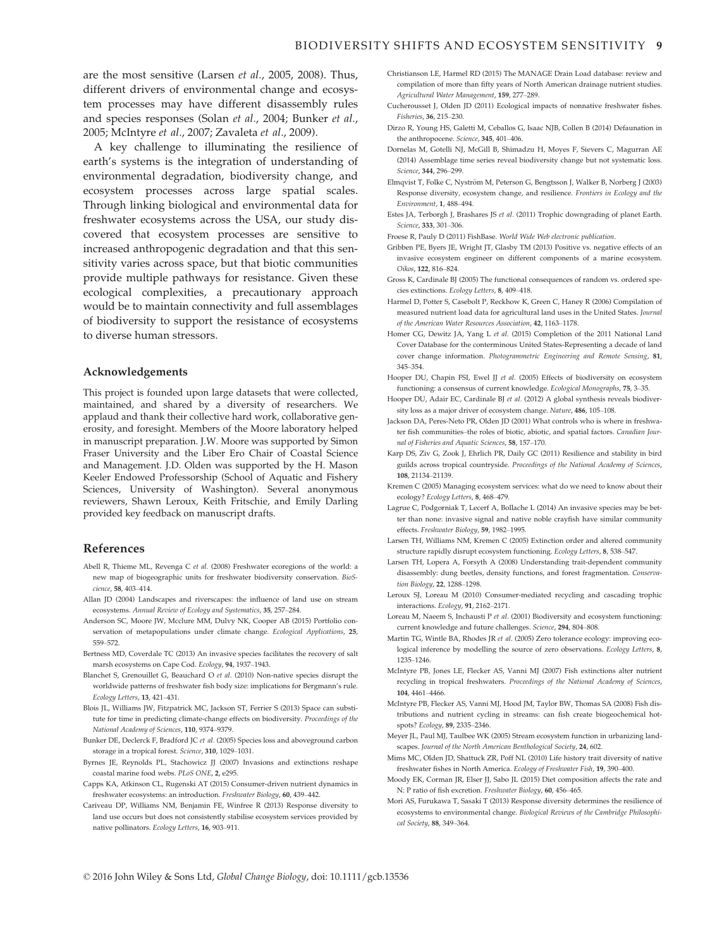are the most sensitive (Larsen et al., 2005, 2008). Thus, different drivers of environmental change and ecosystem processes may have different disassembly rules and species responses (Solan et al., 2004; Bunker et al., 2005; McIntyre et al., 2007; Zavaleta et al., 2009).

A key challenge to illuminating the resilience of earth's systems is the integration of understanding of environmental degradation, biodiversity change, and ecosystem processes across large spatial scales. Through linking biological and environmental data for freshwater ecosystems across the USA, our study discovered that ecosystem processes are sensitive to increased anthropogenic degradation and that this sensitivity varies across space, but that biotic communities provide multiple pathways for resistance. Given these ecological complexities, a precautionary approach would be to maintain connectivity and full assemblages of biodiversity to support the resistance of ecosystems to diverse human stressors.

#### Acknowledgements

This project is founded upon large datasets that were collected, maintained, and shared by a diversity of researchers. We applaud and thank their collective hard work, collaborative generosity, and foresight. Members of the Moore laboratory helped in manuscript preparation. J.W. Moore was supported by Simon Fraser University and the Liber Ero Chair of Coastal Science and Management. J.D. Olden was supported by the H. Mason Keeler Endowed Professorship (School of Aquatic and Fishery Sciences, University of Washington). Several anonymous reviewers, Shawn Leroux, Keith Fritschie, and Emily Darling provided key feedback on manuscript drafts.

#### References

- Abell R, Thieme ML, Revenga C et al. (2008) Freshwater ecoregions of the world: a new map of biogeographic units for freshwater biodiversity conservation. BioScience, 58, 403–414.
- Allan JD (2004) Landscapes and riverscapes: the influence of land use on stream ecosystems. Annual Review of Ecology and Systematics, 35, 257–284.
- Anderson SC, Moore JW, Mcclure MM, Dulvy NK, Cooper AB (2015) Portfolio conservation of metapopulations under climate change. Ecological Applications, 25, 559–572.
- Bertness MD, Coverdale TC (2013) An invasive species facilitates the recovery of salt marsh ecosystems on Cape Cod. Ecology, 94, 1937–1943.
- Blanchet S, Grenouillet G, Beauchard O et al. (2010) Non-native species disrupt the worldwide patterns of freshwater fish body size: implications for Bergmann's rule. Ecology Letters, 13, 421–431.
- Blois JL, Williams JW, Fitzpatrick MC, Jackson ST, Ferrier S (2013) Space can substitute for time in predicting climate-change effects on biodiversity. Proceedings of the National Academy of Sciences, 110, 9374–9379.
- Bunker DE, Declerck F, Bradford JC et al. (2005) Species loss and aboveground carbon storage in a tropical forest. Science, 310, 1029–1031.
- Byrnes JE, Reynolds PL, Stachowicz JJ (2007) Invasions and extinctions reshape coastal marine food webs. PLoS ONE, 2, e295.
- Capps KA, Atkinson CL, Rugenski AT (2015) Consumer-driven nutrient dynamics in freshwater ecosystems: an introduction. Freshwater Biology, 60, 439–442.
- Cariveau DP, Williams NM, Benjamin FE, Winfree R (2013) Response diversity to land use occurs but does not consistently stabilise ecosystem services provided by native pollinators. Ecology Letters, 16, 903–911.
- Christianson LE, Harmel RD (2015) The MANAGE Drain Load database: review and compilation of more than fifty years of North American drainage nutrient studies. Agricultural Water Management, 159, 277–289.
- Cucherousset J, Olden JD (2011) Ecological impacts of nonnative freshwater fishes. Fisheries, 36, 215–230.
- Dirzo R, Young HS, Galetti M, Ceballos G, Isaac NJB, Collen B (2014) Defaunation in the anthropocene. Science, 345, 401-406
- Dornelas M, Gotelli NJ, McGill B, Shimadzu H, Moyes F, Sievers C, Magurran AE (2014) Assemblage time series reveal biodiversity change but not systematic loss. Science, 344, 296–299.
- Elmqvist T, Folke C, Nyström M, Peterson G, Bengtsson J, Walker B, Norberg J (2003) Response diversity, ecosystem change, and resilience. Frontiers in Ecology and the Environment, 1, 488–494.
- Estes JA, Terborgh J, Brashares JS et al. (2011) Trophic downgrading of planet Earth. Science, 333, 301–306.
- Froese R, Pauly D (2011) FishBase. World Wide Web electronic publication.
- Gribben PE, Byers JE, Wright JT, Glasby TM (2013) Positive vs. negative effects of an invasive ecosystem engineer on different components of a marine ecosystem. Oikos, 122, 816–824.
- Gross K, Cardinale BJ (2005) The functional consequences of random vs. ordered species extinctions. Ecology Letters, 8, 409–418.
- Harmel D, Potter S, Casebolt P, Reckhow K, Green C, Haney R (2006) Compilation of measured nutrient load data for agricultural land uses in the United States. Journal of the American Water Resources Association, 42, 1163–1178.
- Homer CG, Dewitz JA, Yang L et al. (2015) Completion of the 2011 National Land Cover Database for the conterminous United States-Representing a decade of land cover change information. Photogrammetric Engineering and Remote Sensing, 81, 345–354.
- Hooper DU, Chapin FSI, Ewel JJ et al. (2005) Effects of biodiversity on ecosystem functioning: a consensus of current knowledge. Ecological Monographs, 75, 3–35.
- Hooper DU, Adair EC, Cardinale BJ et al. (2012) A global synthesis reveals biodiversity loss as a major driver of ecosystem change. Nature, 486, 105-108.
- Jackson DA, Peres-Neto PR, Olden JD (2001) What controls who is where in freshwater fish communities–the roles of biotic, abiotic, and spatial factors. Canadian Journal of Fisheries and Aquatic Sciences, 58, 157–170.
- Karp DS, Ziv G, Zook J, Ehrlich PR, Daily GC (2011) Resilience and stability in bird guilds across tropical countryside. Proceedings of the National Academy of Sciences, 108, 21134–21139.
- Kremen C (2005) Managing ecosystem services: what do we need to know about their ecology? Ecology Letters, 8, 468–479.
- Lagrue C, Podgorniak T, Lecerf A, Bollache L (2014) An invasive species may be better than none: invasive signal and native noble crayfish have similar community effects. Freshwater Biology, 59, 1982–1995.
- Larsen TH, Williams NM, Kremen C (2005) Extinction order and altered community structure rapidly disrupt ecosystem functioning. Ecology Letters, 8, 538–547.
- Larsen TH, Lopera A, Forsyth A (2008) Understanding trait-dependent community disassembly: dung beetles, density functions, and forest fragmentation. Conservation Biology, 22, 1288–1298.
- Leroux SJ, Loreau M (2010) Consumer-mediated recycling and cascading trophic interactions. Ecology, 91, 2162–2171.
- Loreau M, Naeem S, Inchausti P et al. (2001) Biodiversity and ecosystem functioning: current knowledge and future challenges. Science, 294, 804–808.
- Martin TG, Wintle BA, Rhodes JR et al. (2005) Zero tolerance ecology: improving ecological inference by modelling the source of zero observations. Ecology Letters, 8, 1235–1246.
- McIntyre PB, Jones LE, Flecker AS, Vanni MJ (2007) Fish extinctions alter nutrient recycling in tropical freshwaters. Proceedings of the National Academy of Sciences, 104, 4461–4466.
- McIntyre PB, Flecker AS, Vanni MJ, Hood JM, Taylor BW, Thomas SA (2008) Fish distributions and nutrient cycling in streams: can fish create biogeochemical hotspots? Ecology, 89, 2335–2346.
- Meyer JL, Paul MJ, Taulbee WK (2005) Stream ecosystem function in urbanizing landscapes. Journal of the North American Benthological Society, 24, 602.
- Mims MC, Olden JD, Shattuck ZR, Poff NL (2010) Life history trait diversity of native freshwater fishes in North America. Ecology of Freshwater Fish, 19, 390–400.
- Moody EK, Corman JR, Elser JJ, Sabo JL (2015) Diet composition affects the rate and N: P ratio of fish excretion. Freshwater Biology, 60, 456–465.
- Mori AS, Furukawa T, Sasaki T (2013) Response diversity determines the resilience of ecosystems to environmental change. Biological Reviews of the Cambridge Philosophical Society, 88, 349–364.